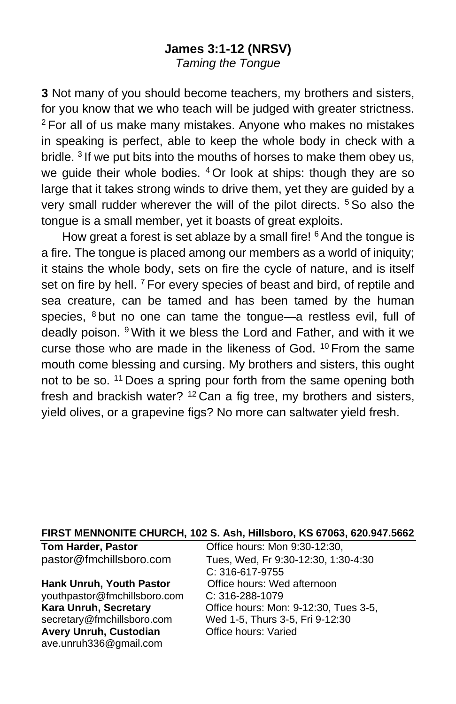### **James 3:1-12 (NRSV)**

*Taming the Tongue*

**3** Not many of you should become teachers, my brothers and sisters, for you know that we who teach will be judged with greater strictness. <sup>2</sup> For all of us make many mistakes. Anyone who makes no mistakes in speaking is perfect, able to keep the whole body in check with a bridle. <sup>3</sup> If we put bits into the mouths of horses to make them obey us, we guide their whole bodies. <sup>4</sup> Or look at ships: though they are so large that it takes strong winds to drive them, yet they are guided by a very small rudder wherever the will of the pilot directs. <sup>5</sup> So also the tongue is a small member, yet it boasts of great exploits.

How great a forest is set ablaze by a small fire! <sup>6</sup> And the tongue is a fire. The tongue is placed among our members as a world of iniquity; it stains the whole body, sets on fire the cycle of nature, and is itself set on fire by hell. <sup>7</sup> For every species of beast and bird, of reptile and sea creature, can be tamed and has been tamed by the human species, <sup>8</sup> but no one can tame the tongue—a restless evil, full of deadly poison. <sup>9</sup> With it we bless the Lord and Father, and with it we curse those who are made in the likeness of God. <sup>10</sup> From the same mouth come blessing and cursing. My brothers and sisters, this ought not to be so. <sup>11</sup> Does a spring pour forth from the same opening both fresh and brackish water? <sup>12</sup> Can a fig tree, my brothers and sisters, yield olives, or a grapevine figs? No more can saltwater yield fresh.

#### **FIRST MENNONITE CHURCH, 102 S. Ash, Hillsboro, KS 67063, 620.947.5662**

| <b>Tom Harder, Pastor</b>       | Office hours: Mon 9:30-12:30,         |
|---------------------------------|---------------------------------------|
| pastor@fmchillsboro.com         | Tues, Wed, Fr 9:30-12:30, 1:30-4:30   |
|                                 | C: 316-617-9755                       |
| <b>Hank Unruh, Youth Pastor</b> | Office hours: Wed afternoon           |
| youthpastor@fmchillsboro.com    | $C: 316 - 288 - 1079$                 |
| Kara Unruh, Secretary           | Office hours: Mon: 9-12:30, Tues 3-5, |
| secretary@fmchillsboro.com      | Wed 1-5, Thurs 3-5, Fri 9-12:30       |
| Avery Unruh, Custodian          | Office hours: Varied                  |
| ave.unruh336@gmail.com          |                                       |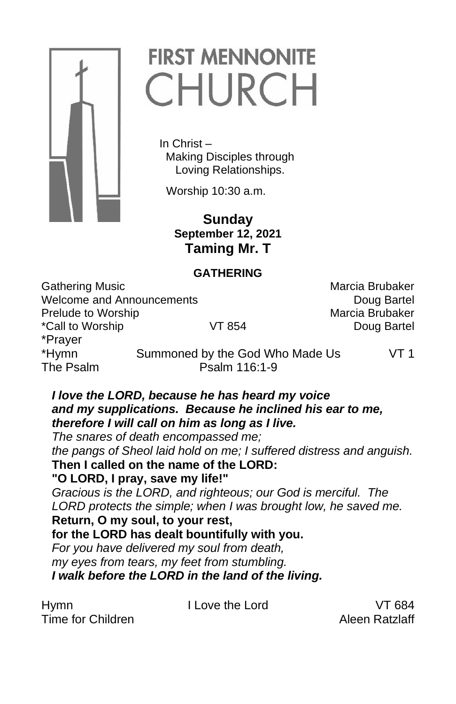

# **FIRST MENNONITE** CHURCH

 In Christ – Making Disciples through Loving Relationships.

Worship 10:30 a.m.

 **Sunday September 12, 2021 Taming Mr. T**

#### **GATHERING**

Gathering Music **Marcia Brubaker** Marcia Brubaker Welcome and Announcements **Doug Bartel** Doug Bartel Prelude to Worship Marcia Brubaker \*Call to Worship VT 854 Doug Bartel \*Prayer The Psalm Psalm 116:1-9

\*Hymn Summoned by the God Who Made Us VT 1

#### *I love the LORD, because he has heard my voice and my supplications. Because he inclined his ear to me, therefore I will call on him as long as I live.*

*The snares of death encompassed me; the pangs of Sheol laid hold on me; I suffered distress and anguish.*

**Then I called on the name of the LORD:** 

#### **"O LORD, I pray, save my life!"**

*Gracious is the LORD, and righteous; our God is merciful. The LORD protects the simple; when I was brought low, he saved me.* **Return, O my soul, to your rest,** 

## **for the LORD has dealt bountifully with you.**

*For you have delivered my soul from death, my eyes from tears, my feet from stumbling. I walk before the LORD in the land of the living.*

Hymn I Love the Lord VT 684 Time for Children Alexander Alexander Aleen Ratzlaff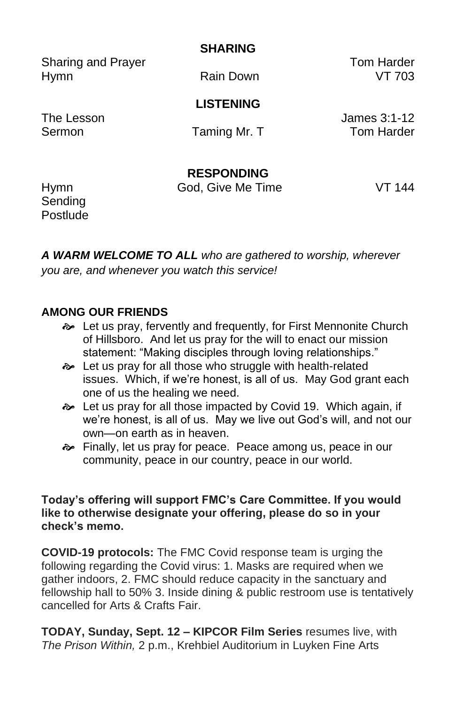**SHARING**

Sharing and Prayer Tom Harder Hymn Rain Down VT 703

**LISTENING**

The Lesson James 3:1-12 Sermon Taming Mr. T Tom Harder

**RESPONDING**

Hymn God, Give Me Time VT 144 **Sending** Postlude

*A WARM WELCOME TO ALL who are gathered to worship, wherever you are, and whenever you watch this service!*

#### **AMONG OUR FRIENDS**

- Let us pray, fervently and frequently, for First Mennonite Church of Hillsboro. And let us pray for the will to enact our mission statement: "Making disciples through loving relationships."
- Let us pray for all those who struggle with health-related issues. Which, if we're honest, is all of us. May God grant each one of us the healing we need.
- Let us pray for all those impacted by Covid 19. Which again, if we're honest, is all of us. May we live out God's will, and not our own—on earth as in heaven.
- Finally, let us pray for peace. Peace among us, peace in our community, peace in our country, peace in our world.

#### **Today's offering will support FMC's Care Committee. If you would like to otherwise designate your offering, please do so in your check's memo.**

**COVID-19 protocols:** The FMC Covid response team is urging the following regarding the Covid virus: 1. Masks are required when we gather indoors, 2. FMC should reduce capacity in the sanctuary and fellowship hall to 50% 3. Inside dining & public restroom use is tentatively cancelled for Arts & Crafts Fair.

**TODAY, Sunday, Sept. 12 – KIPCOR Film Series** resumes live, with *The Prison Within,* 2 p.m., Krehbiel Auditorium in Luyken Fine Arts